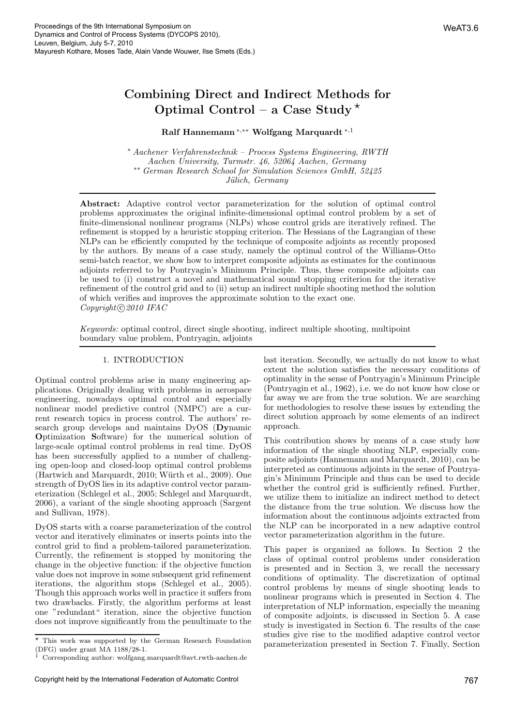## Combining Direct and Indirect Methods for Optimal Control – a Case Study ⋆

# Ralf Hannemann∗,∗∗ Wolfgang Marquardt ∗,1

<sup>∗</sup> Aachener Verfahrenstechnik – Process Systems Engineering, RWTH Aachen University, Turmstr. 46, 52064 Aachen, Germany ∗∗ German Research School for Simulation Sciences GmbH, 52425 Jülich, Germany

Abstract: Adaptive control vector parameterization for the solution of optimal control problems approximates the original infinite-dimensional optimal control problem by a set of finite-dimensional nonlinear programs (NLPs) whose control grids are iteratively refined. The refinement is stopped by a heuristic stopping criterion. The Hessians of the Lagrangian of these NLPs can be efficiently computed by the technique of composite adjoints as recently proposed by the authors. By means of a case study, namely the optimal control of the Williams-Otto semi-batch reactor, we show how to interpret composite adjoints as estimates for the continuous adjoints referred to by Pontryagin's Minimum Principle. Thus, these composite adjoints can be used to (i) construct a novel and mathematical sound stopping criterion for the iterative refinement of the control grid and to (ii) setup an indirect multiple shooting method the solution of which verifies and improves the approximate solution to the exact one.  $Copyright © 2010$  IFAC

Keywords: optimal control, direct single shooting, indirect multiple shooting, multipoint boundary value problem, Pontryagin, adjoints

## 1. INTRODUCTION

Optimal control problems arise in many engineering applications. Originally dealing with problems in aerospace engineering, nowadays optimal control and especially nonlinear model predictive control (NMPC) are a current research topics in process control. The authors' research group develops and maintains DyOS (Dynamic Optimization Software) for the numerical solution of large-scale optimal control problems in real time. DyOS has been successfully applied to a number of challenging open-loop and closed-loop optimal control problems (Hartwich and Marquardt, 2010; Würth et al., 2009). One strength of DyOS lies in its adaptive control vector parameterization (Schlegel et al., 2005; Schlegel and Marquardt, 2006), a variant of the single shooting approach (Sargent and Sullivan, 1978).

DyOS starts with a coarse parameterization of the control vector and iteratively eliminates or inserts points into the control grid to find a problem-tailored parameterization. Currently, the refinement is stopped by monitoring the change in the objective function: if the objective function value does not improve in some subsequent grid refinement iterations, the algorithm stops (Schlegel et al., 2005). Though this approach works well in practice it suffers from two drawbacks. Firstly, the algorithm performs at least one "redundant" iteration, since the objective function does not improve significantly from the penultimate to the last iteration. Secondly, we actually do not know to what extent the solution satisfies the necessary conditions of optimality in the sense of Pontryagin's Minimum Principle (Pontryagin et al., 1962), i.e. we do not know how close or far away we are from the true solution. We are searching for methodologies to resolve these issues by extending the direct solution approach by some elements of an indirect approach.

This contribution shows by means of a case study how information of the single shooting NLP, especially composite adjoints (Hannemann and Marquardt, 2010), can be interpreted as continuous adjoints in the sense of Pontryagin's Minimum Principle and thus can be used to decide whether the control grid is sufficiently refined. Further, we utilize them to initialize an indirect method to detect the distance from the true solution. We discuss how the information about the continuous adjoints extracted from the NLP can be incorporated in a new adaptive control vector parameterization algorithm in the future.

This paper is organized as follows. In Section 2 the class of optimal control problems under consideration is presented and in Section 3, we recall the necessary conditions of optimality. The discretization of optimal control problems by means of single shooting leads to nonlinear programs which is presented in Section 4. The interpretation of NLP information, especially the meaning of composite adjoints, is discussed in Section 5. A case study is investigated in Section 6. The results of the case studies give rise to the modified adaptive control vector parameterization presented in Section 7. Finally, Section

<sup>⋆</sup> This work was supported by the German Research Foundation (DFG) under grant MA 1188/28-1.

<sup>1</sup> Corresponding author: wolfgang.marquardt@avt.rwth-aachen.de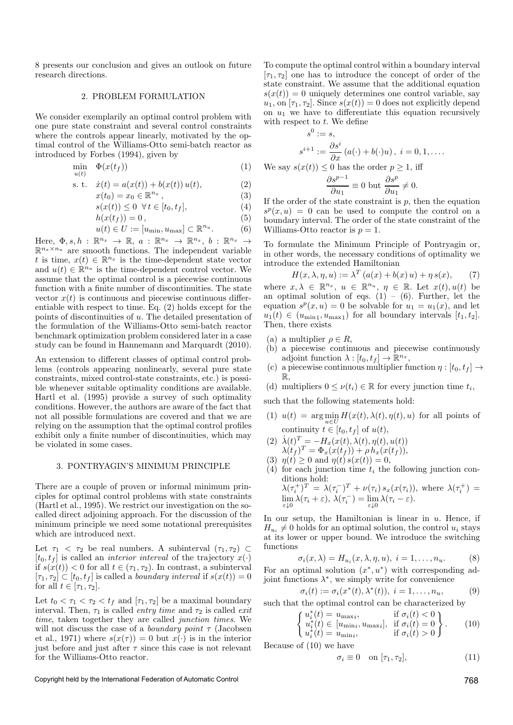8 presents our conclusion and gives an outlook on future research directions.

#### 2. PROBLEM FORMULATION

We consider exemplarily an optimal control problem with one pure state constraint and several control constraints where the controls appear linearly, motivated by the optimal control of the Williams-Otto semi-batch reactor as introduced by Forbes (1994), given by

$$
\min_{u(t)} \quad \Phi(x(t_f)) \tag{1}
$$

s. t. 
$$
\dot{x}(t) = a(x(t)) + b(x(t))u(t),
$$
 (2)

 $x(t_0) = x_0 \in \mathbb{R}^{n_x},$  (3)

$$
s(x(t)) \le 0 \quad \forall \, t \in [t_0, t_f],\tag{4}
$$

$$
h(x(t_f)) = 0, \t\t(5)
$$

$$
u(t) \in U := [u_{\min}, u_{\max}] \subset \mathbb{R}^{n_u}.
$$
 (6)

Here,  $\Phi, s, h : \mathbb{R}^{n_x} \to \mathbb{R}$ ,  $a : \mathbb{R}^{n_x} \to \mathbb{R}^{n_x}$ ,  $b : \mathbb{R}^{n_x} \to$  $\mathbb{R}^{n_x \times n_u}$  are smooth functions. The independent variable t is time,  $x(t) \in \mathbb{R}^{n_x}$  is the time-dependent state vector and  $u(t) \in \mathbb{R}^{n_u}$  is the time-dependent control vector. We assume that the optimal control is a piecewise continuous function with a finite number of discontinuities. The state vector  $x(t)$  is continuous and piecewise continuous differentiable with respect to time. Eq. (2) holds except for the points of discontinuities of u. The detailed presentation of the formulation of the Williams-Otto semi-batch reactor benchmark optimization problem considered later in a case study can be found in Hannemann and Marquardt (2010).

An extension to different classes of optimal control problems (controls appearing nonlinearly, several pure state constraints, mixed control-state constraints, etc.) is possible whenever suitable optimality conditions are available. Hartl et al. (1995) provide a survey of such optimality conditions. However, the authors are aware of the fact that not all possible formulations are covered and that we are relying on the assumption that the optimal control profiles exhibit only a finite number of discontinuities, which may be violated in some cases.

### 3. PONTRYAGIN'S MINIMUM PRINCIPLE

There are a couple of proven or informal minimum principles for optimal control problems with state constraints (Hartl et al., 1995). We restrict our investigation on the socalled direct adjoining approach. For the discussion of the minimum principle we need some notational prerequisites which are introduced next.

Let  $\tau_1$  <  $\tau_2$  be real numbers. A subinterval  $(\tau_1, \tau_2)$   $\subset$  $[t_0, t_f]$  is called an *interior interval* of the trajectory  $x(\cdot)$ if  $s(x(t)) < 0$  for all  $t \in (\tau_1, \tau_2)$ . In contrast, a subinterval  $[\tau_1, \tau_2] \subset [t_0, t_f]$  is called a *boundary interval* if  $s(x(t)) = 0$ for all  $t \in [\tau_1, \tau_2]$ .

Let  $t_0 < \tau_1 < \tau_2 < t_f$  and  $[\tau_1, \tau_2]$  be a maximal boundary interval. Then,  $\tau_1$  is called *entry time* and  $\tau_2$  is called *exit* time, taken together they are called junction times. We will not discuss the case of a *boundary point*  $\tau$  (Jacobsen et al., 1971) where  $s(x(\tau)) = 0$  but  $x(\cdot)$  is in the interior just before and just after  $\tau$  since this case is not relevant for the Williams-Otto reactor.

To compute the optimal control within a boundary interval  $[\tau_1, \tau_2]$  one has to introduce the concept of order of the state constraint. We assume that the additional equation  $s(x(t)) = 0$  uniquely determines one control variable, say  $u_1$ , on  $[\tau_1, \tau_2]$ . Since  $s(x(t)) = 0$  does not explicitly depend on  $u_1$  we have to differentiate this equation recursively with respect to  $t$ . We define

$$
s^{0} := s,
$$
  
\n
$$
s^{i+1} := \frac{\partial s^{i}}{\partial x} (a(\cdot) + b(\cdot)u), i = 0, 1, ....
$$
  
\nWe say  $s(x(t)) \le 0$  has the order  $p \ge 1$ , iff  
\n
$$
\frac{\partial s^{p-1}}{\partial s^{p-1}} = 0, \quad \frac{\partial s^{p}}{\partial s^{p}} \ne 0
$$

 $rac{\partial s^{p-1}}{\partial u_1} \equiv 0$  but  $\frac{\partial s}{\partial u_1}$  $\frac{\partial v}{\partial u_1} \neq 0.$ 

If the order of the state constraint is  $p$ , then the equation  $s^p(x, u) = 0$  can be used to compute the control on a boundary interval. The order of the state constraint of the Williams-Otto reactor is  $p = 1$ .

To formulate the Minimum Principle of Pontryagin or, in other words, the necessary conditions of optimality we introduce the extended Hamiltonian

$$
H(x, \lambda, \eta, u) := \lambda^T (a(x) + b(x) u) + \eta s(x), \qquad (7)
$$

where  $x, \lambda \in \mathbb{R}^{n_x}$ ,  $u \in \mathbb{R}^{n_u}$ ,  $\eta \in \mathbb{R}$ . Let  $x(t), u(t)$  be an optimal solution of eqs.  $(1) - (6)$ . Further, let the equation  $s^p(x, u) = 0$  be solvable for  $u_1 = u_1(x)$ , and let  $u_1(t) \in (u_{\text{min1}}, u_{\text{max1}})$  for all boundary intervals  $[t_1, t_2]$ . Then, there exists

- (a) a multiplier  $\rho \in R$ ,
- (b) a piecewise continuous and piecewise continuously adjoint function  $\lambda : [t_0, t_f] \to \mathbb{R}^{n_x}$ ,
- (c) a piecewise continuous multiplier function  $\eta : [t_0, t_f] \rightarrow$  $\mathbb{R}$
- (d) multipliers  $0 \leq \nu(t_i) \in \mathbb{R}$  for every junction time  $t_i$ ,

such that the following statements hold:

- (1)  $u(t) = \arg \min_{u \in U} H(x(t), \lambda(t), \eta(t), u)$  for all points of continuity  $t \in [t_0, t_f]$  of  $u(t)$ ,
- (2)  $\dot{\lambda}(t)^T = -H_x(x(t), \lambda(t), \eta(t), u(t))$  $\lambda(t_f)^T = \Phi_x(x(t_f)) + \rho h_x(x(t_f)),$
- (3)  $\eta(t) \ge 0$  and  $\eta(t) s(x(t)) = 0$ ,
- (4) for each junction time  $t_i$  the following junction conditions hold:

$$
\lambda(\tau_i^+)^T = \lambda(\tau_i^-)^T + \nu(\tau_i) s_x(x(\tau_i)), \text{ where } \lambda(\tau_i^+) = \lim_{\varepsilon \downarrow 0} \lambda(\tau_i + \varepsilon), \lambda(\tau_i^-) = \lim_{\varepsilon \downarrow 0} \lambda(\tau_i - \varepsilon).
$$

In our setup, the Hamiltonian is linear in  $u$ . Hence, if  $H_{u_i} \neq 0$  holds for an optimal solution, the control  $u_i$  stays at its lower or upper bound. We introduce the switching functions

$$
\sigma_i(x,\lambda) = H_{u_i}(x,\lambda,\eta,u), \ i = 1,\ldots,n_u.
$$
 (8)

For an optimal solution  $(x^*, u^*)$  with corresponding adjoint functions  $\lambda^*$ , we simply write for convenience

$$
\sigma_i(t) := \sigma_i(x^*(t), \lambda^*(t)), \ i = 1, \dots, n_u,
$$
\n<sup>(9)</sup>

such that the optimal control can be characterized by  $\langle y \rangle$   $\langle 0 \rangle$ 

$$
\begin{cases}\n u_i^*(t) = u_{\text{max}i}, & \text{if } \sigma_i(t) < 0 \\
u_i^*(t) \in [u_{\text{min}i}, u_{\text{max}i}], & \text{if } \sigma_i(t) = 0 \\
u_i^*(t) = u_{\text{min}i}, & \text{if } \sigma_i(t) > 0\n\end{cases} . \tag{10}
$$

Because of (10) we have

$$
\sigma_i \equiv 0 \quad \text{on } [\tau_1, \tau_2], \tag{11}
$$

Copyright held by the International Federation of Automatic Control 768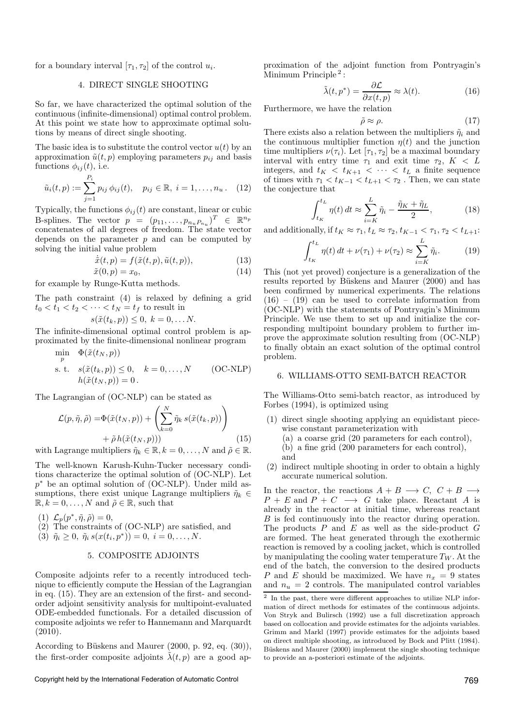for a boundary interval  $[\tau_1, \tau_2]$  of the control  $u_i$ .

# 4. DIRECT SINGLE SHOOTING

So far, we have characterized the optimal solution of the continuous (infinite-dimensional) optimal control problem. At this point we state how to approximate optimal solutions by means of direct single shooting.

The basic idea is to substitute the control vector  $u(t)$  by an approximation  $\tilde{u}(t, p)$  employing parameters  $p_{ij}$  and basis functions  $\phi_{ij}(t)$ , i.e.

$$
\tilde{u}_i(t,p) := \sum_{j=1}^{P_i} p_{ij} \phi_{ij}(t), \quad p_{ij} \in \mathbb{R}, \ i = 1, \dots, n_u. \quad (12)
$$

Typically, the functions  $\phi_{ij}(t)$  are constant, linear or cubic B-splines. The vector  $p = (p_{11}, \ldots, p_{n_u} p_{n_u})^T \in \mathbb{R}^{n_p}$ concatenates of all degrees of freedom. The state vector depends on the parameter  $p$  and can be computed by solving the initial value problem

$$
\dot{\tilde{x}}(t,p) = f(\tilde{x}(t,p), \tilde{u}(t,p)),
$$
\n(13)

$$
\tilde{x}(0, p) = x_0,
$$
\nfor example by Runge-Kutta methods. (14)

The path constraint (4) is relaxed by defining a grid  $t_0 < t_1 < t_2 < \cdots < t_N = t_f$  to result in

$$
s(\tilde{x}(t_k, p)) \leq 0, \ k = 0, \dots N.
$$

The infinite-dimensional optimal control problem is approximated by the finite-dimensional nonlinear program  $\mathbf{F}(\alpha t) = \alpha$ 

$$
\min_{p} \quad \Phi(\tilde{x}(t_N, p))
$$
\n
$$
\text{s. t.} \quad s(\tilde{x}(t_k, p)) \le 0, \quad k = 0, \dots, N \qquad \text{(OC-NLP)}
$$
\n
$$
h(\tilde{x}(t_N, p)) = 0.
$$

The Lagrangian of (OC-NLP) can be stated as

$$
\mathcal{L}(p, \tilde{\eta}, \tilde{\rho}) = \Phi(\tilde{x}(t_N, p)) + \left(\sum_{k=0}^{N} \tilde{\eta}_k s(\tilde{x}(t_k, p))\right) + \tilde{\rho} h(\tilde{x}(t_N, p)))
$$
\n(15)

with Lagrange multipliers  $\tilde{\eta}_k \in \mathbb{R}, k = 0, \ldots, N$  and  $\tilde{\rho} \in \mathbb{R}$ .

The well-known Karush-Kuhn-Tucker necessary conditions characterize the optimal solution of (OC-NLP). Let p <sup>∗</sup> be an optimal solution of (OC-NLP). Under mild assumptions, there exist unique Lagrange multipliers  $\tilde{\eta}_k \in$  $\mathbb{R}, k = 0, \ldots, N$  and  $\tilde{\rho} \in \mathbb{R}$ , such that

- (1)  $\mathcal{L}_p(p^*, \tilde{\eta}, \tilde{\rho}) = 0,$
- $(2)$  The constraints of (OC-NLP) are satisfied, and
- (3)  $\tilde{\eta}_i \geq 0$ ,  $\tilde{\eta}_i s(x(t_i, p^*)) = 0$ ,  $i = 0, ..., N$ .

### 5. COMPOSITE ADJOINTS

Composite adjoints refer to a recently introduced technique to efficiently compute the Hessian of the Lagrangian in eq. (15). They are an extension of the first- and secondorder adjoint sensitivity analysis for multipoint-evaluated ODE-embedded functionals. For a detailed discussion of composite adjoints we refer to Hannemann and Marquardt  $(2010).$ 

According to Büskens and Maurer  $(2000, p. 92, eq. (30)),$ the first-order composite adjoints  $\tilde{\lambda}(t, p)$  are a good approximation of the adjoint function from Pontryagin's Minimum Principle<sup>2</sup>:

$$
\tilde{\lambda}(t, p^*) = \frac{\partial \mathcal{L}}{\partial x(t, p)} \approx \lambda(t). \tag{16}
$$

Furthermore, we have the relation

$$
(17)
$$

There exists also a relation between the multipliers  $\tilde{\eta}_i$  and the continuous multiplier function  $\eta(t)$  and the junction time multipliers  $\nu(\tau_i)$ . Let  $[\tau_1, \tau_2]$  be a maximal boundary interval with entry time  $\tau_1$  and exit time  $\tau_2$ ,  $K < L$ integers, and  $t_K < t_{K+1} < \cdots < t_L$  a finite sequence of times with  $\tau_1 < t_{K-1} < t_{L+1} < \tau_2$ . Then, we can state the conjecture that

 $\tilde{\rho} \approx \rho$ .

$$
\int_{t_K}^{t_L} \eta(t) dt \approx \sum_{i=K}^{L} \tilde{\eta}_i - \frac{\tilde{\eta}_K + \tilde{\eta}_L}{2},\tag{18}
$$

and additionally, if  $t_K \approx \tau_1, t_L \approx \tau_2, t_{K-1} < \tau_1, \tau_2 < t_{L+1}$ :

$$
\int_{t_K}^{t_L} \eta(t) dt + \nu(\tau_1) + \nu(\tau_2) \approx \sum_{i=K}^{L} \tilde{\eta}_i.
$$
 (19)

This (not yet proved) conjecture is a generalization of the results reported by Büskens and Maurer (2000) and has been confirmed by numerical experiments. The relations  $(16) - (19)$  can be used to correlate information from (OC-NLP) with the statements of Pontryagin's Minimum Principle. We use them to set up and initialize the corresponding multipoint boundary problem to further improve the approximate solution resulting from (OC-NLP) to finally obtain an exact solution of the optimal control problem.

#### 6. WILLIAMS-OTTO SEMI-BATCH REACTOR

The Williams-Otto semi-batch reactor, as introduced by Forbes (1994), is optimized using

- (1) direct single shooting applying an equidistant piecewise constant parameterization with
	- (a) a coarse grid (20 parameters for each control),
	- (b) a fine grid (200 parameters for each control),
	- and
- (2) indirect multiple shooting in order to obtain a highly accurate numerical solution.

In the reactor, the reactions  $A + B \longrightarrow C$ ,  $C + B \longrightarrow$  $P + E$  and  $P + C \longrightarrow G$  take place. Reactant A is already in the reactor at initial time, whereas reactant B is fed continuously into the reactor during operation. The products  $P$  and  $E$  as well as the side-product  $G$ are formed. The heat generated through the exothermic reaction is removed by a cooling jacket, which is controlled by manipulating the cooling water temperature  $T_W$ . At the end of the batch, the conversion to the desired products P and E should be maximized. We have  $n_x = 9$  states and  $n_u = 2$  controls. The manipulated control variables

<sup>2</sup> In the past, there were different approaches to utilize NLP information of direct methods for estimates of the continuous adjoints. Von Stryk and Bulirsch (1992) use a full discretization approach based on collocation and provide estimates for the adjoints variables. Grimm and Markl (1997) provide estimates for the adjoints based on direct multiple shooting, as introduced by Bock and Plitt (1984). Büskens and Maurer (2000) implement the single shooting technique to provide an a-posteriori estimate of the adjoints.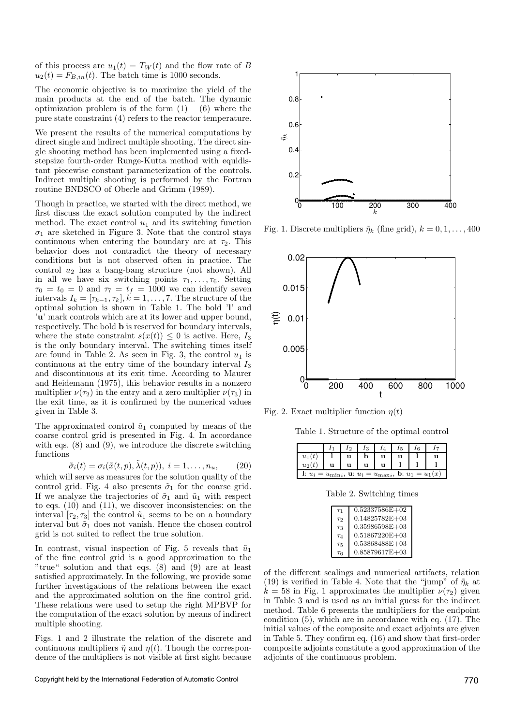of this process are  $u_1(t) = T_W(t)$  and the flow rate of B  $u_2(t) = F_{B,in}(t)$ . The batch time is 1000 seconds.

The economic objective is to maximize the yield of the main products at the end of the batch. The dynamic optimization problem is of the form  $(1) - (6)$  where the pure state constraint (4) refers to the reactor temperature.

We present the results of the numerical computations by direct single and indirect multiple shooting. The direct single shooting method has been implemented using a fixedstepsize fourth-order Runge-Kutta method with equidistant piecewise constant parameterization of the controls. Indirect multiple shooting is performed by the Fortran routine BNDSCO of Oberle and Grimm (1989).

Though in practice, we started with the direct method, we first discuss the exact solution computed by the indirect method. The exact control  $u_1$  and its switching function  $\sigma_1$  are sketched in Figure 3. Note that the control stays continuous when entering the boundary arc at  $\tau_2$ . This behavior does not contradict the theory of necessary conditions but is not observed often in practice. The control u<sup>2</sup> has a bang-bang structure (not shown). All in all we have six switching points  $\tau_1, \ldots, \tau_6$ . Setting  $\tau_0 = t_0 = 0$  and  $\tau_7 = t_f = 1000$  we can identify seven intervals  $I_k = [\tau_{k-1}, \tau_k], k = 1, \ldots, 7$ . The structure of the optimal solution is shown in Table 1. The bold 'l' and 'u' mark controls which are at its lower and upper bound, respectively. The bold b is reserved for boundary intervals, where the state constraint  $s(x(t)) \leq 0$  is active. Here,  $I_3$ is the only boundary interval. The switching times itself are found in Table 2. As seen in Fig. 3, the control  $u_1$  is continuous at the entry time of the boundary interval  $I_3$ and discontinuous at its exit time. According to Maurer and Heidemann (1975), this behavior results in a nonzero multiplier  $\nu(\tau_2)$  in the entry and a zero multiplier  $\nu(\tau_3)$  in the exit time, as it is confirmed by the numerical values given in Table 3.

The approximated control  $\tilde{u}_1$  computed by means of the coarse control grid is presented in Fig. 4. In accordance with eqs.  $(8)$  and  $(9)$ , we introduce the discrete switching functions

$$
\tilde{\sigma}_i(t) = \sigma_i(\tilde{x}(t, p), \tilde{\lambda}(t, p)), \ i = 1, \dots, n_u,
$$
 (20)

which will serve as measures for the solution quality of the control grid. Fig. 4 also presents  $\tilde{\sigma}_1$  for the coarse grid. If we analyze the trajectories of  $\tilde{\sigma}_1$  and  $\tilde{u}_1$  with respect to eqs. (10) and (11), we discover inconsistencies: on the interval  $[\tau_2, \tau_3]$  the control  $\tilde{u}_1$  seems to be on a boundary interval but  $\tilde{\sigma}_1$  does not vanish. Hence the chosen control grid is not suited to reflect the true solution.

In contrast, visual inspection of Fig. 5 reveals that  $\tilde{u}_1$ of the fine control grid is a good approximation to the "true" solution and that eqs. (8) and (9) are at least satisfied approximately. In the following, we provide some further investigations of the relations between the exact and the approximated solution on the fine control grid. These relations were used to setup the right MPBVP for the computation of the exact solution by means of indirect multiple shooting.

Figs. 1 and 2 illustrate the relation of the discrete and continuous multipliers  $\tilde{\eta}$  and  $\eta(t)$ . Though the correspondence of the multipliers is not visible at first sight because



Fig. 1. Discrete multipliers  $\tilde{\eta}_k$  (fine grid),  $k = 0, 1, \ldots, 400$ 



Fig. 2. Exact multiplier function  $\eta(t)$ 

Table 1. Structure of the optimal control

|                                                                   |  |  |  | u |  |  |  |
|-------------------------------------------------------------------|--|--|--|---|--|--|--|
| $u_2(t)$                                                          |  |  |  |   |  |  |  |
| 1: $u_i = u_{\min i}$ , u: $u_i = u_{\max i}$ , b: $u_1 = u_1(x)$ |  |  |  |   |  |  |  |

Table 2. Switching times

| T1         | $0.52337586E+02$   |
|------------|--------------------|
| $\tau_2$   | $0.14825782E+03$   |
| $\tau_3$   | $0.35986598E + 03$ |
| $T_4$      | $0.51867220E + 03$ |
| $\tau_{5}$ | $0.53868488E+03$   |
| Тĥ         | $0.85879617E+03$   |

of the different scalings and numerical artifacts, relation (19) is verified in Table 4. Note that the "jump" of  $\tilde{\eta}_k$  at  $k = 58$  in Fig. 1 approximates the multiplier  $\nu(\tau_2)$  given in Table 3 and is used as an initial guess for the indirect method. Table 6 presents the multipliers for the endpoint condition (5), which are in accordance with eq. (17). The initial values of the composite and exact adjoints are given in Table 5. They confirm eq. (16) and show that first-order composite adjoints constitute a good approximation of the adjoints of the continuous problem.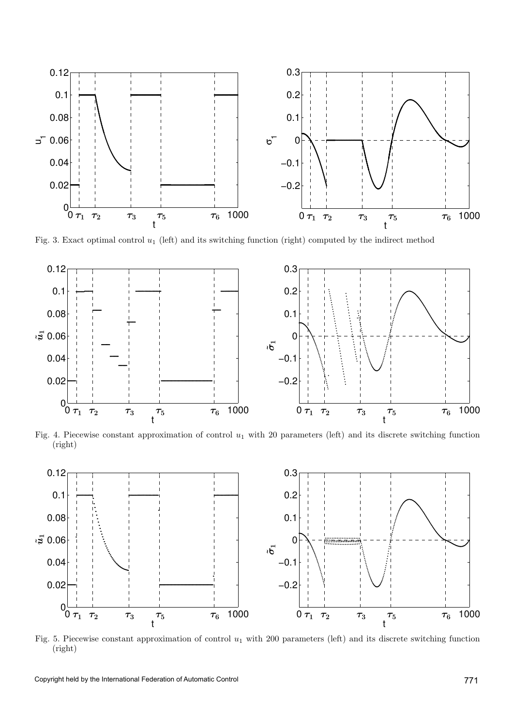

Fig. 3. Exact optimal control  $u_1$  (left) and its switching function (right) computed by the indirect method



Fig. 4. Piecewise constant approximation of control  $u_1$  with 20 parameters (left) and its discrete switching function (right)



Fig. 5. Piecewise constant approximation of control  $u_1$  with 200 parameters (left) and its discrete switching function (right)